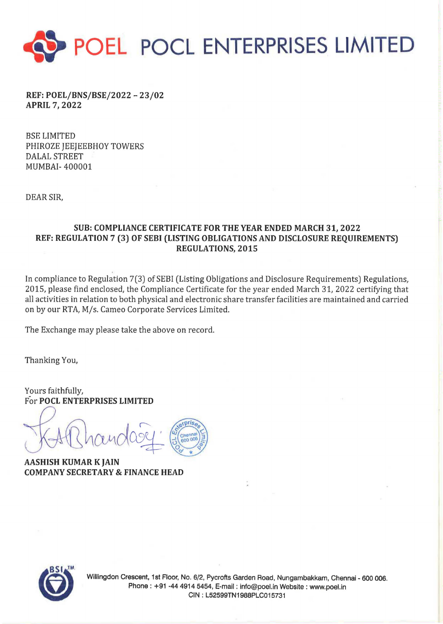

REF: POEL/BNS/BSE/2022 - 23/02 APRIL 7, 2022

BSE LIMITED PHIROZE JEEJEEBHOY TOWERS DALAL STREET MUMBAI- 400001

DEAR SIR,

## SUB: COMPLIANCE CERTIFICATE FOR THE YEAR ENDED MARCH 31, 2022 REF: REGULATION 7 (3) OF SEBI (LISTING OBLIGATIONS AND DISCLOSURE REQUIREMENTS) REGULATIONS, 2015

In compliance to Regulation 7(3) of SEBI (Listing Obligations and Disclosure Requirements) Regulations, 2015, please find enclosed, the Compliance Certificate for the year ended March 31, 2022 certifying that all activities in relation to both physical and electronic share transfer facilities are maintained and carried on by our RTA, M/s. Cameo Corporate Services Limited.

The Exchange may please take the above on record.

Thanking You,

Yours faithfully, For POCL ENTERPRISES LIMITED

COMPANY SECRETARY & FINANCE HEAD

AASHISH KUMAR K JAIN